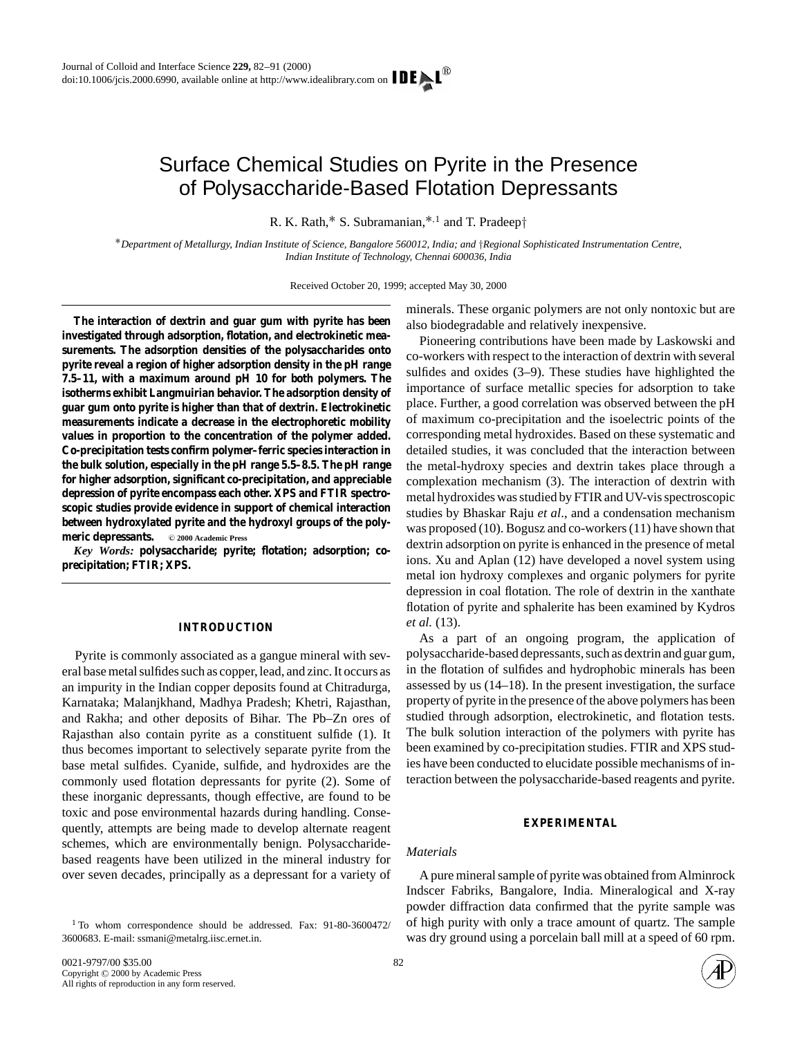# Surface Chemical Studies on Pyrite in the Presence of Polysaccharide-Based Flotation Depressants

R. K. Rath,<sup>∗</sup> S. Subramanian,∗,<sup>1</sup> and T. Pradeep†

∗*Department of Metallurgy, Indian Institute of Science, Bangalore 560012, India; and* †*Regional Sophisticated Instrumentation Centre, Indian Institute of Technology, Chennai 600036, India*

Received October 20, 1999; accepted May 30, 2000

**The interaction of dextrin and guar gum with pyrite has been investigated through adsorption, flotation, and electrokinetic measurements. The adsorption densities of the polysaccharides onto pyrite reveal a region of higher adsorption density in the pH range 7.5–11, with a maximum around pH 10 for both polymers. The isotherms exhibit Langmuirian behavior. The adsorption density of guar gum onto pyrite is higher than that of dextrin. Electrokinetic measurements indicate a decrease in the electrophoretic mobility values in proportion to the concentration of the polymer added. Co-precipitation tests confirm polymer–ferric species interaction in the bulk solution, especially in the pH range 5.5–8.5. The pH range for higher adsorption, significant co-precipitation, and appreciable depression of pyrite encompass each other. XPS and FTIR spectroscopic studies provide evidence in support of chemical interaction between hydroxylated pyrite and the hydroxyl groups of the polymeric depressants.** © 2000 Academic Press

*Key Words:* **polysaccharide; pyrite; flotation; adsorption; coprecipitation; FTIR; XPS.**

### **INTRODUCTION**

Pyrite is commonly associated as a gangue mineral with several base metal sulfides such as copper, lead, and zinc. It occurs as an impurity in the Indian copper deposits found at Chitradurga, Karnataka; Malanjkhand, Madhya Pradesh; Khetri, Rajasthan, and Rakha; and other deposits of Bihar. The Pb–Zn ores of Rajasthan also contain pyrite as a constituent sulfide (1). It thus becomes important to selectively separate pyrite from the base metal sulfides. Cyanide, sulfide, and hydroxides are the commonly used flotation depressants for pyrite (2). Some of these inorganic depressants, though effective, are found to be toxic and pose environmental hazards during handling. Consequently, attempts are being made to develop alternate reagent schemes, which are environmentally benign. Polysaccharidebased reagents have been utilized in the mineral industry for over seven decades, principally as a depressant for a variety of

minerals. These organic polymers are not only nontoxic but are also biodegradable and relatively inexpensive.

Pioneering contributions have been made by Laskowski and co-workers with respect to the interaction of dextrin with several sulfides and oxides (3–9). These studies have highlighted the importance of surface metallic species for adsorption to take place. Further, a good correlation was observed between the pH of maximum co-precipitation and the isoelectric points of the corresponding metal hydroxides. Based on these systematic and detailed studies, it was concluded that the interaction between the metal-hydroxy species and dextrin takes place through a complexation mechanism (3). The interaction of dextrin with metal hydroxides was studied by FTIR and UV-vis spectroscopic studies by Bhaskar Raju *et al*., and a condensation mechanism was proposed (10). Bogusz and co-workers (11) have shown that dextrin adsorption on pyrite is enhanced in the presence of metal ions. Xu and Aplan (12) have developed a novel system using metal ion hydroxy complexes and organic polymers for pyrite depression in coal flotation. The role of dextrin in the xanthate flotation of pyrite and sphalerite has been examined by Kydros *et al.* (13).

As a part of an ongoing program, the application of polysaccharide-based depressants, such as dextrin and guar gum, in the flotation of sulfides and hydrophobic minerals has been assessed by us (14–18). In the present investigation, the surface property of pyrite in the presence of the above polymers has been studied through adsorption, electrokinetic, and flotation tests. The bulk solution interaction of the polymers with pyrite has been examined by co-precipitation studies. FTIR and XPS studies have been conducted to elucidate possible mechanisms of interaction between the polysaccharide-based reagents and pyrite.

# **EXPERIMENTAL**

# *Materials*

A pure mineral sample of pyrite was obtained from Alminrock Indscer Fabriks, Bangalore, India. Mineralogical and X-ray powder diffraction data confirmed that the pyrite sample was of high purity with only a trace amount of quartz. The sample was dry ground using a porcelain ball mill at a speed of 60 rpm.



<sup>1</sup> To whom correspondence should be addressed. Fax: 91-80-3600472/ 3600683. E-mail: ssmani@metalrg.iisc.ernet.in.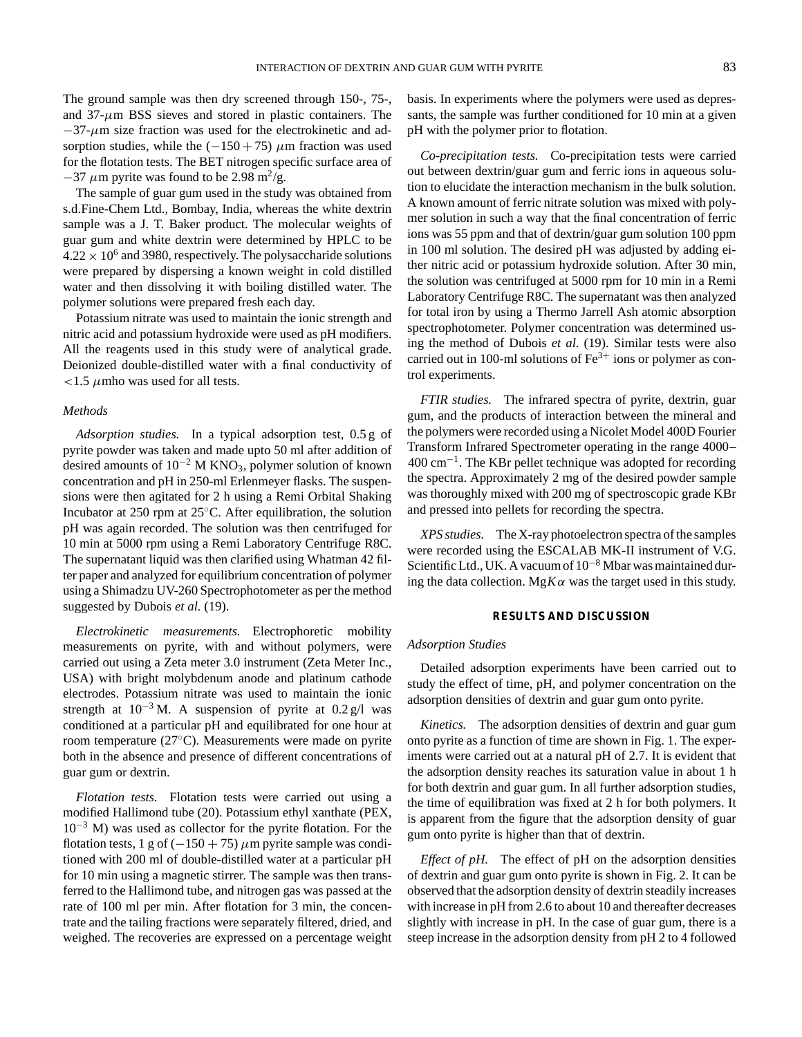The ground sample was then dry screened through 150-, 75-, and  $37-\mu$ m BSS sieves and stored in plastic containers. The  $-37$ - $\mu$ m size fraction was used for the electrokinetic and adsorption studies, while the  $(-150 + 75)$  µm fraction was used for the flotation tests. The BET nitrogen specific surface area of  $-37 \mu$ m pyrite was found to be 2.98 m<sup>2</sup>/g.

The sample of guar gum used in the study was obtained from s.d.Fine-Chem Ltd., Bombay, India, whereas the white dextrin sample was a J. T. Baker product. The molecular weights of guar gum and white dextrin were determined by HPLC to be  $4.22 \times 10^6$  and 3980, respectively. The polysaccharide solutions were prepared by dispersing a known weight in cold distilled water and then dissolving it with boiling distilled water. The polymer solutions were prepared fresh each day.

Potassium nitrate was used to maintain the ionic strength and nitric acid and potassium hydroxide were used as pH modifiers. All the reagents used in this study were of analytical grade. Deionized double-distilled water with a final conductivity of  $\lt$ 1.5  $\mu$ mho was used for all tests.

# *Methods*

*Adsorption studies.* In a typical adsorption test, 0.5 g of pyrite powder was taken and made upto 50 ml after addition of desired amounts of  $10^{-2}$  M KNO<sub>3</sub>, polymer solution of known concentration and pH in 250-ml Erlenmeyer flasks. The suspensions were then agitated for 2 h using a Remi Orbital Shaking Incubator at 250 rpm at 25◦C. After equilibration, the solution pH was again recorded. The solution was then centrifuged for 10 min at 5000 rpm using a Remi Laboratory Centrifuge R8C. The supernatant liquid was then clarified using Whatman 42 filter paper and analyzed for equilibrium concentration of polymer using a Shimadzu UV-260 Spectrophotometer as per the method suggested by Dubois *et al.* (19).

*Electrokinetic measurements.* Electrophoretic mobility measurements on pyrite, with and without polymers, were carried out using a Zeta meter 3.0 instrument (Zeta Meter Inc., USA) with bright molybdenum anode and platinum cathode electrodes. Potassium nitrate was used to maintain the ionic strength at  $10^{-3}$  M. A suspension of pyrite at  $0.2$  g/l was conditioned at a particular pH and equilibrated for one hour at room temperature (27◦C). Measurements were made on pyrite both in the absence and presence of different concentrations of guar gum or dextrin.

*Flotation tests.* Flotation tests were carried out using a modified Hallimond tube (20). Potassium ethyl xanthate (PEX,  $10^{-3}$  M) was used as collector for the pyrite flotation. For the flotation tests, 1 g of  $(-150 + 75)$   $\mu$ m pyrite sample was conditioned with 200 ml of double-distilled water at a particular pH for 10 min using a magnetic stirrer. The sample was then transferred to the Hallimond tube, and nitrogen gas was passed at the rate of 100 ml per min. After flotation for 3 min, the concentrate and the tailing fractions were separately filtered, dried, and weighed. The recoveries are expressed on a percentage weight

basis. In experiments where the polymers were used as depressants, the sample was further conditioned for 10 min at a given pH with the polymer prior to flotation.

*Co-precipitation tests.* Co-precipitation tests were carried out between dextrin/guar gum and ferric ions in aqueous solution to elucidate the interaction mechanism in the bulk solution. A known amount of ferric nitrate solution was mixed with polymer solution in such a way that the final concentration of ferric ions was 55 ppm and that of dextrin/guar gum solution 100 ppm in 100 ml solution. The desired pH was adjusted by adding either nitric acid or potassium hydroxide solution. After 30 min, the solution was centrifuged at 5000 rpm for 10 min in a Remi Laboratory Centrifuge R8C. The supernatant was then analyzed for total iron by using a Thermo Jarrell Ash atomic absorption spectrophotometer. Polymer concentration was determined using the method of Dubois *et al.* (19). Similar tests were also carried out in 100-ml solutions of  $Fe<sup>3+</sup>$  ions or polymer as control experiments.

*FTIR studies.* The infrared spectra of pyrite, dextrin, guar gum, and the products of interaction between the mineral and the polymers were recorded using a Nicolet Model 400D Fourier Transform Infrared Spectrometer operating in the range 4000– 400 cm−1. The KBr pellet technique was adopted for recording the spectra. Approximately 2 mg of the desired powder sample was thoroughly mixed with 200 mg of spectroscopic grade KBr and pressed into pellets for recording the spectra.

*XPS studies.* The X-ray photoelectron spectra of the samples were recorded using the ESCALAB MK-II instrument of V.G. Scientific Ltd., UK. A vacuum of 10<sup>-8</sup> Mbar was maintained during the data collection. Mg $K\alpha$  was the target used in this study.

# **RESULTS AND DISCUSSION**

#### *Adsorption Studies*

Detailed adsorption experiments have been carried out to study the effect of time, pH, and polymer concentration on the adsorption densities of dextrin and guar gum onto pyrite.

*Kinetics.* The adsorption densities of dextrin and guar gum onto pyrite as a function of time are shown in Fig. 1. The experiments were carried out at a natural pH of 2.7. It is evident that the adsorption density reaches its saturation value in about 1 h for both dextrin and guar gum. In all further adsorption studies, the time of equilibration was fixed at 2 h for both polymers. It is apparent from the figure that the adsorption density of guar gum onto pyrite is higher than that of dextrin.

*Effect of pH.* The effect of pH on the adsorption densities of dextrin and guar gum onto pyrite is shown in Fig. 2. It can be observed that the adsorption density of dextrin steadily increases with increase in pH from 2.6 to about 10 and thereafter decreases slightly with increase in pH. In the case of guar gum, there is a steep increase in the adsorption density from pH 2 to 4 followed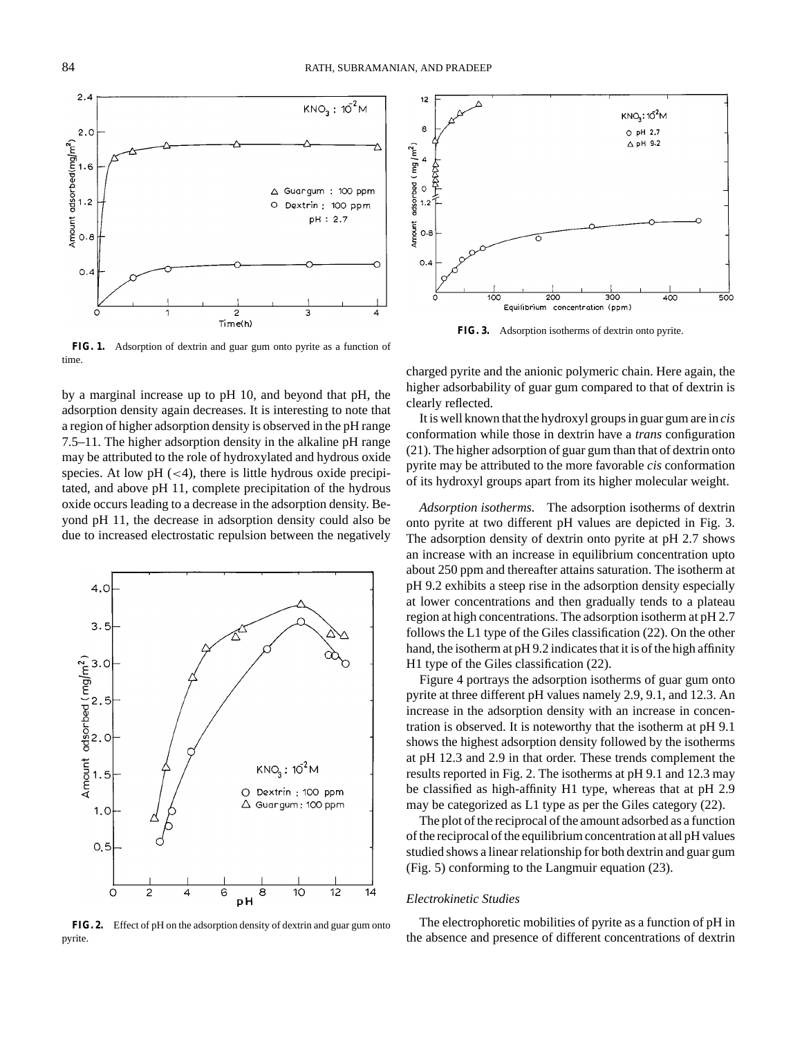Λ

 $KNO_3: 10^{2}M$ 

△ Guargum : 100 ppm

Dextrin: 100 ppm pH: 2.7

 $\circ$ 

C  $\overline{\mathbf{c}}$ 3 4 Time(h) **FIG. 1.** Adsorption of dextrin and guar gum onto pyrite as a function of

by a marginal increase up to pH 10, and beyond that pH, the adsorption density again decreases. It is interesting to note that a region of higher adsorption density is observed in the pH range 7.5–11. The higher adsorption density in the alkaline pH range may be attributed to the role of hydroxylated and hydrous oxide species. At low  $pH \approx (4)$ , there is little hydrous oxide precipitated, and above pH 11, complete precipitation of the hydrous oxide occurs leading to a decrease in the adsorption density. Beyond pH 11, the decrease in adsorption density could also be due to increased electrostatic repulsion between the negatively



**FIG. 2.** Effect of pH on the adsorption density of dextrin and guar gum onto pyrite.



**FIG. 3.** Adsorption isotherms of dextrin onto pyrite.

charged pyrite and the anionic polymeric chain. Here again, the higher adsorbability of guar gum compared to that of dextrin is clearly reflected.

It is well known that the hydroxyl groups in guar gum are in *cis* conformation while those in dextrin have a *trans* configuration (21). The higher adsorption of guar gum than that of dextrin onto pyrite may be attributed to the more favorable *cis* conformation of its hydroxyl groups apart from its higher molecular weight.

*Adsorption isotherms.* The adsorption isotherms of dextrin onto pyrite at two different pH values are depicted in Fig. 3. The adsorption density of dextrin onto pyrite at pH 2.7 shows an increase with an increase in equilibrium concentration upto about 250 ppm and thereafter attains saturation. The isotherm at pH 9.2 exhibits a steep rise in the adsorption density especially at lower concentrations and then gradually tends to a plateau region at high concentrations. The adsorption isotherm at pH 2.7 follows the L1 type of the Giles classification (22). On the other hand, the isotherm at pH 9.2 indicates that it is of the high affinity H1 type of the Giles classification (22).

Figure 4 portrays the adsorption isotherms of guar gum onto pyrite at three different pH values namely 2.9, 9.1, and 12.3. An increase in the adsorption density with an increase in concentration is observed. It is noteworthy that the isotherm at pH 9.1 shows the highest adsorption density followed by the isotherms at pH 12.3 and 2.9 in that order. These trends complement the results reported in Fig. 2. The isotherms at pH 9.1 and 12.3 may be classified as high-affinity H1 type, whereas that at pH 2.9 may be categorized as L1 type as per the Giles category (22).

The plot of the reciprocal of the amount adsorbed as a function of the reciprocal of the equilibrium concentration at all pH values studied shows a linear relationship for both dextrin and guar gum (Fig. 5) conforming to the Langmuir equation (23).

## *Electrokinetic Studies*

The electrophoretic mobilities of pyrite as a function of pH in the absence and presence of different concentrations of dextrin

 $2.4$ 

 $2.C$ 

 $1.6$ 

 $1.2$ 

 $0.8$ 

 $0.4$ 

Amount adsorbed(mg/m<sup>2</sup>)

time.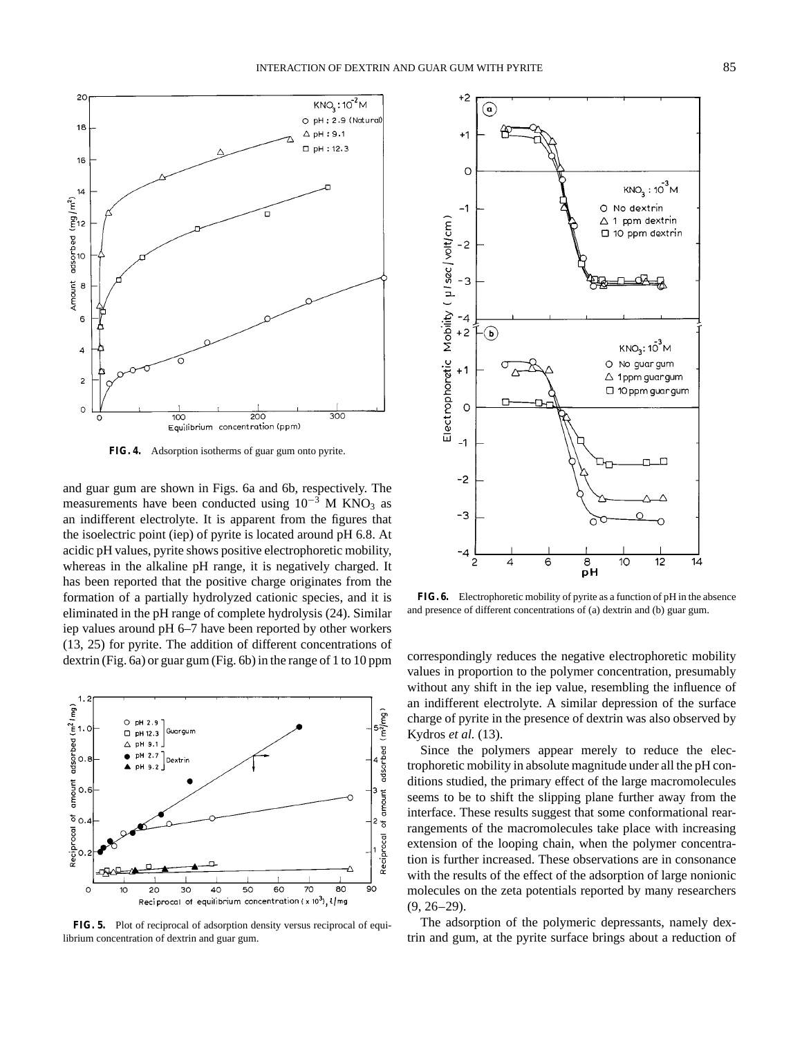

**FIG. 4.** Adsorption isotherms of guar gum onto pyrite.

and guar gum are shown in Figs. 6a and 6b, respectively. The measurements have been conducted using  $10^{-3}$  M KNO<sub>3</sub> as an indifferent electrolyte. It is apparent from the figures that the isoelectric point (iep) of pyrite is located around pH 6.8. At acidic pH values, pyrite shows positive electrophoretic mobility, whereas in the alkaline pH range, it is negatively charged. It has been reported that the positive charge originates from the formation of a partially hydrolyzed cationic species, and it is eliminated in the pH range of complete hydrolysis (24). Similar iep values around pH 6–7 have been reported by other workers (13, 25) for pyrite. The addition of different concentrations of dextrin (Fig. 6a) or guar gum (Fig. 6b) in the range of 1 to 10 ppm



**FIG. 5.** Plot of reciprocal of adsorption density versus reciprocal of equilibrium concentration of dextrin and guar gum.



**FIG. 6.** Electrophoretic mobility of pyrite as a function of pH in the absence and presence of different concentrations of (a) dextrin and (b) guar gum.

correspondingly reduces the negative electrophoretic mobility values in proportion to the polymer concentration, presumably without any shift in the iep value, resembling the influence of an indifferent electrolyte. A similar depression of the surface charge of pyrite in the presence of dextrin was also observed by Kydros *et al.* (13).

Since the polymers appear merely to reduce the electrophoretic mobility in absolute magnitude under all the pH conditions studied, the primary effect of the large macromolecules seems to be to shift the slipping plane further away from the interface. These results suggest that some conformational rearrangements of the macromolecules take place with increasing extension of the looping chain, when the polymer concentration is further increased. These observations are in consonance with the results of the effect of the adsorption of large nonionic molecules on the zeta potentials reported by many researchers  $(9, 26-29)$ .

The adsorption of the polymeric depressants, namely dextrin and gum, at the pyrite surface brings about a reduction of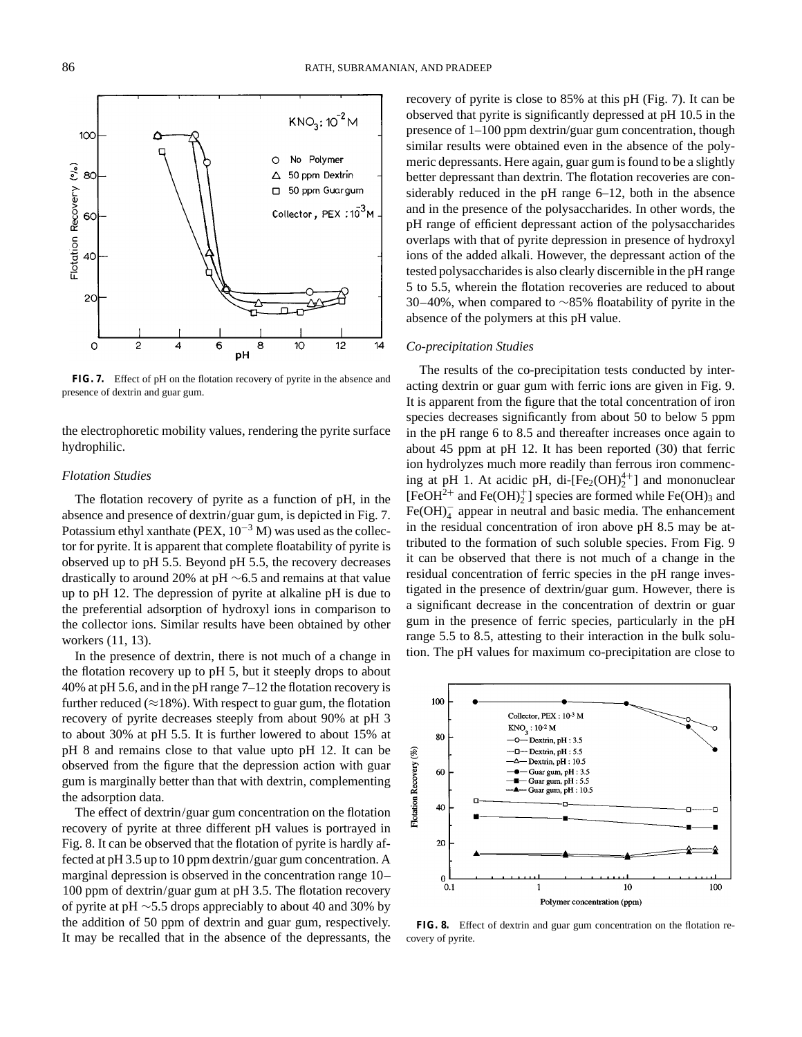$KNO_2: 10^{-2} M$ 

No Polymer

50 ppm Dextrin

50 ppm Guargum Collector, PEX : 10<sup>3</sup>M

Ō

Δ

 $\Box$ 



**FIG. 7.** Effect of pH on the flotation recovery of pyrite in the absence and presence of dextrin and guar gum.

the electrophoretic mobility values, rendering the pyrite surface hydrophilic.

# *Flotation Studies*

The flotation recovery of pyrite as a function of pH, in the absence and presence of dextrin/guar gum, is depicted in Fig. 7. Potassium ethyl xanthate (PEX,  $10^{-3}$  M) was used as the collector for pyrite. It is apparent that complete floatability of pyrite is observed up to pH 5.5. Beyond pH 5.5, the recovery decreases drastically to around 20% at pH ∼6.5 and remains at that value up to pH 12. The depression of pyrite at alkaline pH is due to the preferential adsorption of hydroxyl ions in comparison to the collector ions. Similar results have been obtained by other workers (11, 13).

In the presence of dextrin, there is not much of a change in the flotation recovery up to pH 5, but it steeply drops to about 40% at pH 5.6, and in the pH range 7–12 the flotation recovery is further reduced ( $\approx$ 18%). With respect to guar gum, the flotation recovery of pyrite decreases steeply from about 90% at pH 3 to about 30% at pH 5.5. It is further lowered to about 15% at pH 8 and remains close to that value upto pH 12. It can be observed from the figure that the depression action with guar gum is marginally better than that with dextrin, complementing the adsorption data.

The effect of dextrin/guar gum concentration on the flotation recovery of pyrite at three different pH values is portrayed in Fig. 8. It can be observed that the flotation of pyrite is hardly affected at pH 3.5 up to 10 ppm dextrin/guar gum concentration. A marginal depression is observed in the concentration range 10– 100 ppm of dextrin/guar gum at pH 3.5. The flotation recovery of pyrite at pH ∼5.5 drops appreciably to about 40 and 30% by the addition of 50 ppm of dextrin and guar gum, respectively. It may be recalled that in the absence of the depressants, the

recovery of pyrite is close to 85% at this pH (Fig. 7). It can be observed that pyrite is significantly depressed at pH 10.5 in the presence of 1–100 ppm dextrin/guar gum concentration, though similar results were obtained even in the absence of the polymeric depressants. Here again, guar gum is found to be a slightly better depressant than dextrin. The flotation recoveries are considerably reduced in the pH range 6–12, both in the absence and in the presence of the polysaccharides. In other words, the pH range of efficient depressant action of the polysaccharides overlaps with that of pyrite depression in presence of hydroxyl ions of the added alkali. However, the depressant action of the tested polysaccharides is also clearly discernible in the pH range 5 to 5.5, wherein the flotation recoveries are reduced to about 30–40%, when compared to ∼85% floatability of pyrite in the absence of the polymers at this pH value.

#### *Co-precipitation Studies*

The results of the co-precipitation tests conducted by interacting dextrin or guar gum with ferric ions are given in Fig. 9. It is apparent from the figure that the total concentration of iron species decreases significantly from about 50 to below 5 ppm in the pH range 6 to 8.5 and thereafter increases once again to about 45 ppm at pH 12. It has been reported (30) that ferric ion hydrolyzes much more readily than ferrous iron commencing at pH 1. At acidic pH, di- $[Fe_2(OH)_2^{4+}]$  and mononuclear [FeOH<sup>2+</sup> and Fe(OH)<sup>+</sup><sub>2</sub>] species are formed while Fe(OH)<sub>3</sub> and  $Fe(OH)<sub>4</sub>$  appear in neutral and basic media. The enhancement in the residual concentration of iron above pH 8.5 may be attributed to the formation of such soluble species. From Fig. 9 it can be observed that there is not much of a change in the residual concentration of ferric species in the pH range investigated in the presence of dextrin/guar gum. However, there is a significant decrease in the concentration of dextrin or guar gum in the presence of ferric species, particularly in the pH range 5.5 to 8.5, attesting to their interaction in the bulk solution. The pH values for maximum co-precipitation are close to



FIG. 8. Effect of dextrin and guar gum concentration on the flotation recovery of pyrite.

100

80

60

Flotation Recovery (%)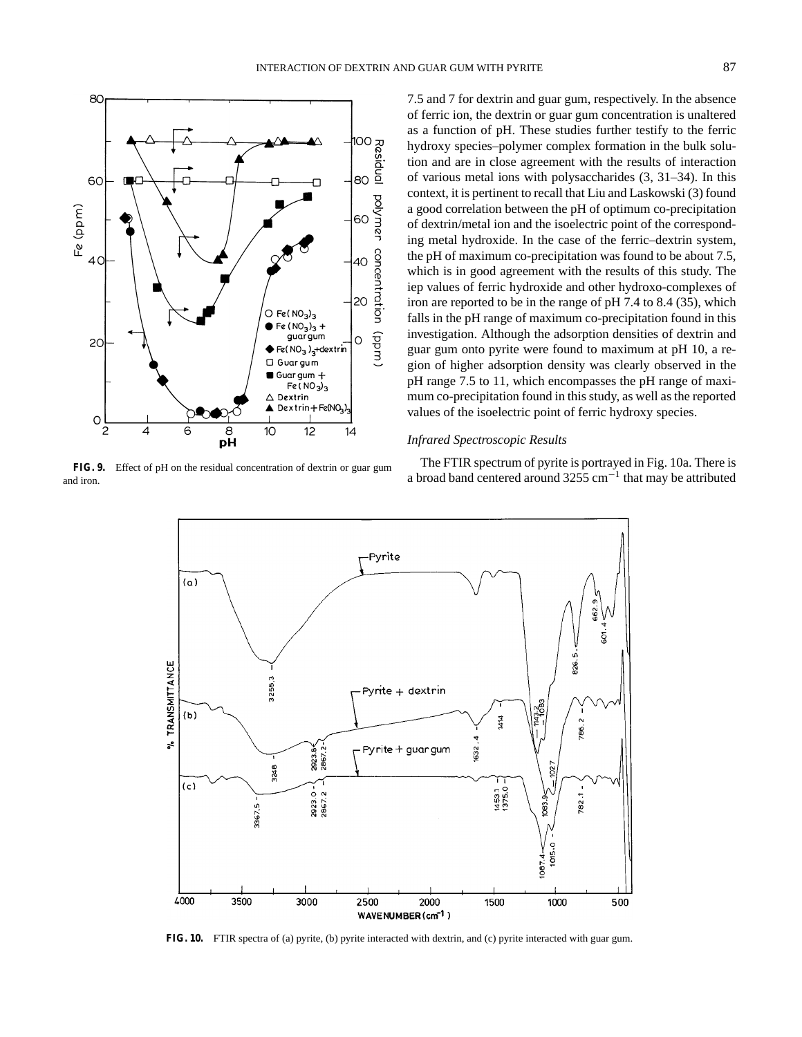

FIG. 9. Effect of pH on the residual concentration of dextrin or guar gum and iron.

7.5 and 7 for dextrin and guar gum, respectively. In the absence of ferric ion, the dextrin or guar gum concentration is unaltered as a function of pH. These studies further testify to the ferric hydroxy species–polymer complex formation in the bulk solution and are in close agreement with the results of interaction of various metal ions with polysaccharides (3, 31–34). In this context, it is pertinent to recall that Liu and Laskowski (3) found a good correlation between the pH of optimum co-precipitation of dextrin/metal ion and the isoelectric point of the corresponding metal hydroxide. In the case of the ferric–dextrin system, the pH of maximum co-precipitation was found to be about 7.5, which is in good agreement with the results of this study. The iep values of ferric hydroxide and other hydroxo-complexes of iron are reported to be in the range of pH 7.4 to 8.4 (35), which falls in the pH range of maximum co-precipitation found in this investigation. Although the adsorption densities of dextrin and guar gum onto pyrite were found to maximum at pH 10, a region of higher adsorption density was clearly observed in the pH range 7.5 to 11, which encompasses the pH range of maximum co-precipitation found in this study, as well as the reported values of the isoelectric point of ferric hydroxy species.

#### *Infrared Spectroscopic Results*

The FTIR spectrum of pyrite is portrayed in Fig. 10a. There is a broad band centered around 3255 cm<sup>-1</sup> that may be attributed



**FIG. 10.** FTIR spectra of (a) pyrite, (b) pyrite interacted with dextrin, and (c) pyrite interacted with guar gum.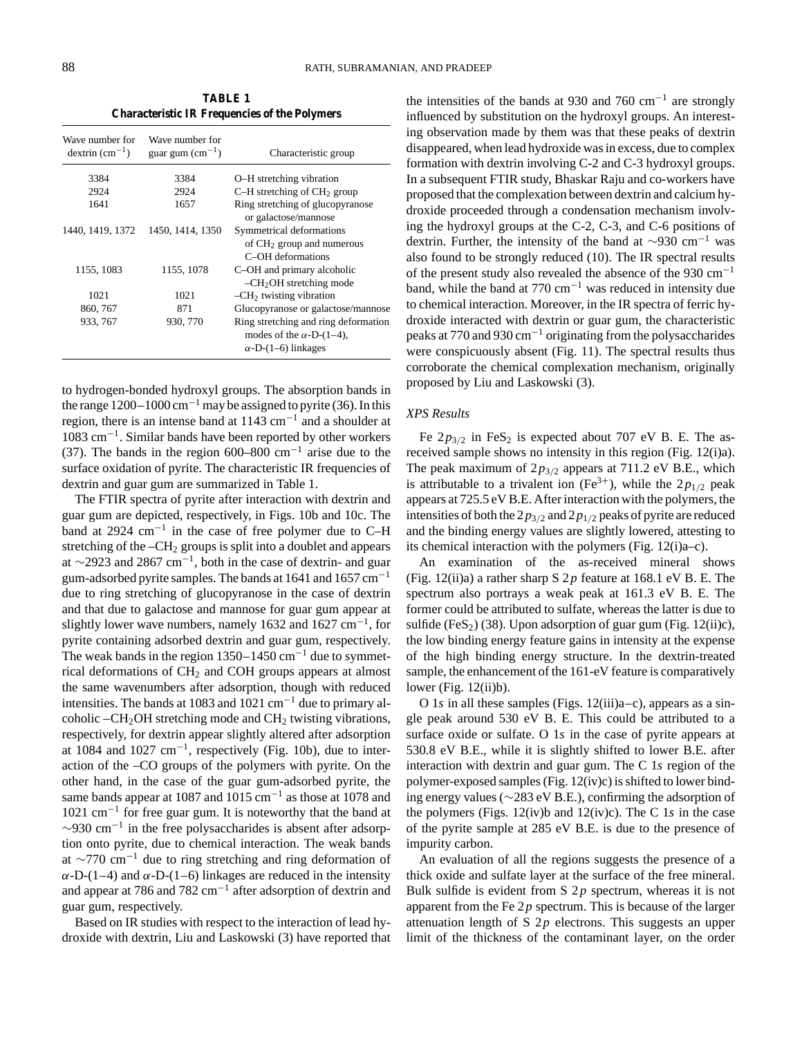**TABLE 1 Characteristic IR Frequencies of the Polymers**

| Wave number for<br>$d$ extrin $(cm^{-1})$ | Wave number for<br>guar gum $\rm (cm^{-1})$ | Characteristic group                                                                                  |
|-------------------------------------------|---------------------------------------------|-------------------------------------------------------------------------------------------------------|
| 3384                                      | 3384                                        | O-H stretching vibration                                                                              |
| 2924                                      | 2924                                        | $C-H$ stretching of $CH2$ group                                                                       |
| 1641                                      | 1657                                        | Ring stretching of glucopyranose<br>or galactose/mannose                                              |
| 1440, 1419, 1372                          | 1450, 1414, 1350                            | Symmetrical deformations<br>of $CH2$ group and numerous<br>C <sub>-OH</sub> deformations              |
| 1155, 1083                                | 1155, 1078                                  | C-OH and primary alcoholic<br>$-CH2OH$ stretching mode                                                |
| 1021                                      | 1021                                        | $-CH2$ twisting vibration                                                                             |
| 860, 767                                  | 871                                         | Glucopyranose or galactose/mannose                                                                    |
| 933, 767                                  | 930, 770                                    | Ring stretching and ring deformation<br>modes of the $\alpha$ -D-(1–4),<br>$\alpha$ -D-(1–6) linkages |

to hydrogen-bonded hydroxyl groups. The absorption bands in the range  $1200-1000 \text{ cm}^{-1}$  may be assigned to pyrite (36). In this region, there is an intense band at 1143 cm−<sup>1</sup> and a shoulder at 1083 cm−1. Similar bands have been reported by other workers (37). The bands in the region 600–800 cm<sup>-1</sup> arise due to the surface oxidation of pyrite. The characteristic IR frequencies of dextrin and guar gum are summarized in Table 1.

The FTIR spectra of pyrite after interaction with dextrin and guar gum are depicted, respectively, in Figs. 10b and 10c. The band at 2924 cm<sup>-1</sup> in the case of free polymer due to C–H stretching of the  $-CH<sub>2</sub>$  groups is split into a doublet and appears at  $\sim$ 2923 and 2867 cm<sup>-1</sup>, both in the case of dextrin- and guar gum-adsorbed pyrite samples. The bands at 1641 and 1657 cm<sup>-1</sup> due to ring stretching of glucopyranose in the case of dextrin and that due to galactose and mannose for guar gum appear at slightly lower wave numbers, namely 1632 and 1627  $cm^{-1}$ , for pyrite containing adsorbed dextrin and guar gum, respectively. The weak bands in the region  $1350-1450$  cm<sup>-1</sup> due to symmetrical deformations of  $CH<sub>2</sub>$  and COH groups appears at almost the same wavenumbers after adsorption, though with reduced intensities. The bands at 1083 and 1021 cm−<sup>1</sup> due to primary alcoholic  $-CH<sub>2</sub>OH$  stretching mode and  $CH<sub>2</sub>$  twisting vibrations, respectively, for dextrin appear slightly altered after adsorption at 1084 and 1027 cm<sup>-1</sup>, respectively (Fig. 10b), due to interaction of the –CO groups of the polymers with pyrite. On the other hand, in the case of the guar gum-adsorbed pyrite, the same bands appear at 1087 and 1015 cm<sup>-1</sup> as those at 1078 and 1021 cm−<sup>1</sup> for free guar gum. It is noteworthy that the band at  $\sim$ 930 cm<sup>-1</sup> in the free polysaccharides is absent after adsorption onto pyrite, due to chemical interaction. The weak bands at  $\sim$ 770 cm<sup>-1</sup> due to ring stretching and ring deformation of  $\alpha$ -D-(1–4) and  $\alpha$ -D-(1–6) linkages are reduced in the intensity and appear at 786 and 782 cm−<sup>1</sup> after adsorption of dextrin and guar gum, respectively.

Based on IR studies with respect to the interaction of lead hydroxide with dextrin, Liu and Laskowski (3) have reported that

the intensities of the bands at 930 and 760 cm<sup>-1</sup> are strongly influenced by substitution on the hydroxyl groups. An interesting observation made by them was that these peaks of dextrin disappeared, when lead hydroxide was in excess, due to complex formation with dextrin involving C-2 and C-3 hydroxyl groups. In a subsequent FTIR study, Bhaskar Raju and co-workers have proposed that the complexation between dextrin and calcium hydroxide proceeded through a condensation mechanism involving the hydroxyl groups at the C-2, C-3, and C-6 positions of dextrin. Further, the intensity of the band at  $\sim$ 930 cm<sup>-1</sup> was also found to be strongly reduced (10). The IR spectral results of the present study also revealed the absence of the 930 cm−<sup>1</sup> band, while the band at  $770 \text{ cm}^{-1}$  was reduced in intensity due to chemical interaction. Moreover, in the IR spectra of ferric hydroxide interacted with dextrin or guar gum, the characteristic peaks at 770 and 930 cm−<sup>1</sup> originating from the polysaccharides were conspicuously absent (Fig. 11). The spectral results thus corroborate the chemical complexation mechanism, originally proposed by Liu and Laskowski (3).

# *XPS Results*

Fe  $2p_{3/2}$  in FeS<sub>2</sub> is expected about 707 eV B. E. The asreceived sample shows no intensity in this region (Fig. 12(i)a). The peak maximum of  $2p_{3/2}$  appears at 711.2 eV B.E., which is attributable to a trivalent ion  $(Fe^{3+})$ , while the  $2p_{1/2}$  peak appears at 725.5 eV B.E. After interaction with the polymers, the intensities of both the  $2p_{3/2}$  and  $2p_{1/2}$  peaks of pyrite are reduced and the binding energy values are slightly lowered, attesting to its chemical interaction with the polymers (Fig. 12(i)a–c).

An examination of the as-received mineral shows (Fig. 12(ii)a) a rather sharp S 2*p* feature at 168.1 eV B. E. The spectrum also portrays a weak peak at 161.3 eV B. E. The former could be attributed to sulfate, whereas the latter is due to sulfide (FeS<sub>2</sub>) (38). Upon adsorption of guar gum (Fig. 12(ii)c), the low binding energy feature gains in intensity at the expense of the high binding energy structure. In the dextrin-treated sample, the enhancement of the 161-eV feature is comparatively lower (Fig.  $12(ii)b$ ).

O 1*s* in all these samples (Figs. 12(iii)a–c), appears as a single peak around 530 eV B. E. This could be attributed to a surface oxide or sulfate. O 1*s* in the case of pyrite appears at 530.8 eV B.E., while it is slightly shifted to lower B.E. after interaction with dextrin and guar gum. The C 1*s* region of the polymer-exposed samples (Fig. 12(iv)c) is shifted to lower binding energy values (∼283 eV B.E.), confirming the adsorption of the polymers (Figs. 12(iv)b and 12(iv)c). The C 1*s* in the case of the pyrite sample at 285 eV B.E. is due to the presence of impurity carbon.

An evaluation of all the regions suggests the presence of a thick oxide and sulfate layer at the surface of the free mineral. Bulk sulfide is evident from S 2*p* spectrum, whereas it is not apparent from the Fe 2*p* spectrum. This is because of the larger attenuation length of S 2*p* electrons. This suggests an upper limit of the thickness of the contaminant layer, on the order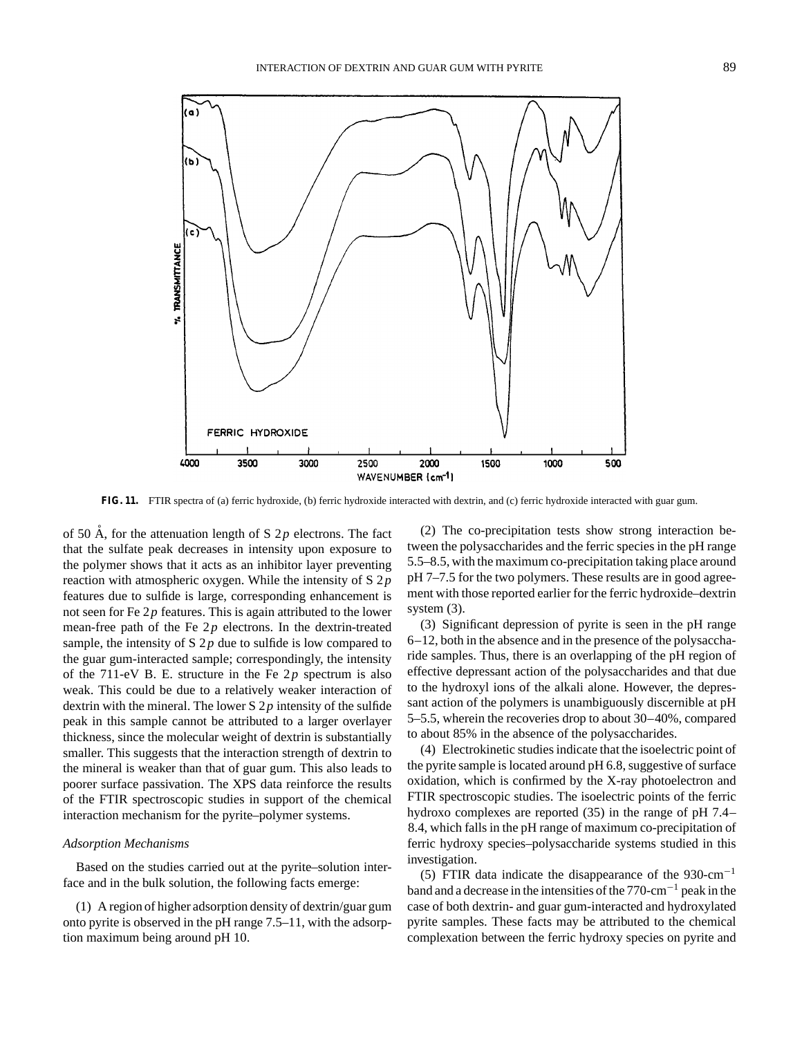

**FIG. 11.** FTIR spectra of (a) ferric hydroxide, (b) ferric hydroxide interacted with dextrin, and (c) ferric hydroxide interacted with guar gum.

of 50  $\AA$ , for the attenuation length of S 2p electrons. The fact that the sulfate peak decreases in intensity upon exposure to the polymer shows that it acts as an inhibitor layer preventing reaction with atmospheric oxygen. While the intensity of S 2*p* features due to sulfide is large, corresponding enhancement is not seen for Fe 2*p* features. This is again attributed to the lower mean-free path of the Fe 2*p* electrons. In the dextrin-treated sample, the intensity of S  $2p$  due to sulfide is low compared to the guar gum-interacted sample; correspondingly, the intensity of the 711-eV B. E. structure in the Fe 2*p* spectrum is also weak. This could be due to a relatively weaker interaction of dextrin with the mineral. The lower S 2*p* intensity of the sulfide peak in this sample cannot be attributed to a larger overlayer thickness, since the molecular weight of dextrin is substantially smaller. This suggests that the interaction strength of dextrin to the mineral is weaker than that of guar gum. This also leads to poorer surface passivation. The XPS data reinforce the results of the FTIR spectroscopic studies in support of the chemical interaction mechanism for the pyrite–polymer systems.

# *Adsorption Mechanisms*

Based on the studies carried out at the pyrite–solution interface and in the bulk solution, the following facts emerge:

(1) A region of higher adsorption density of dextrin/guar gum onto pyrite is observed in the pH range 7.5–11, with the adsorption maximum being around pH 10.

(2) The co-precipitation tests show strong interaction between the polysaccharides and the ferric species in the pH range 5.5–8.5, with the maximum co-precipitation taking place around pH 7–7.5 for the two polymers. These results are in good agreement with those reported earlier for the ferric hydroxide–dextrin system (3).

(3) Significant depression of pyrite is seen in the pH range 6–12, both in the absence and in the presence of the polysaccharide samples. Thus, there is an overlapping of the pH region of effective depressant action of the polysaccharides and that due to the hydroxyl ions of the alkali alone. However, the depressant action of the polymers is unambiguously discernible at pH 5–5.5, wherein the recoveries drop to about 30–40%, compared to about 85% in the absence of the polysaccharides.

(4) Electrokinetic studies indicate that the isoelectric point of the pyrite sample is located around pH 6.8, suggestive of surface oxidation, which is confirmed by the X-ray photoelectron and FTIR spectroscopic studies. The isoelectric points of the ferric hydroxo complexes are reported (35) in the range of pH 7.4– 8.4, which falls in the pH range of maximum co-precipitation of ferric hydroxy species–polysaccharide systems studied in this investigation.

(5) FTIR data indicate the disappearance of the 930-cm<sup>-1</sup> band and a decrease in the intensities of the 770-cm−<sup>1</sup> peak in the case of both dextrin- and guar gum-interacted and hydroxylated pyrite samples. These facts may be attributed to the chemical complexation between the ferric hydroxy species on pyrite and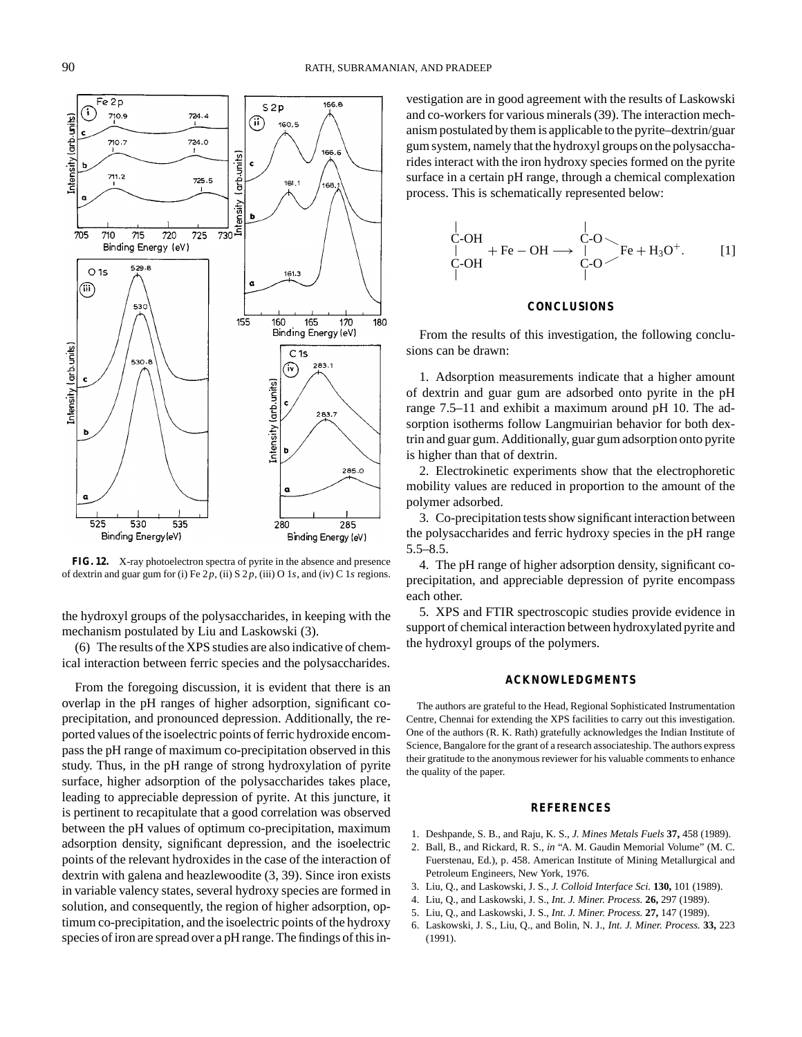

**FIG. 12.** X-ray photoelectron spectra of pyrite in the absence and presence of dextrin and guar gum for (i) Fe 2*p*, (ii) S 2*p*, (iii) O 1*s*, and (iv) C 1*s* regions.

the hydroxyl groups of the polysaccharides, in keeping with the mechanism postulated by Liu and Laskowski (3).

(6) The results of the XPS studies are also indicative of chemical interaction between ferric species and the polysaccharides.

From the foregoing discussion, it is evident that there is an overlap in the pH ranges of higher adsorption, significant coprecipitation, and pronounced depression. Additionally, the reported values of the isoelectric points of ferric hydroxide encompass the pH range of maximum co-precipitation observed in this study. Thus, in the pH range of strong hydroxylation of pyrite surface, higher adsorption of the polysaccharides takes place, leading to appreciable depression of pyrite. At this juncture, it is pertinent to recapitulate that a good correlation was observed between the pH values of optimum co-precipitation, maximum adsorption density, significant depression, and the isoelectric points of the relevant hydroxides in the case of the interaction of dextrin with galena and heazlewoodite (3, 39). Since iron exists in variable valency states, several hydroxy species are formed in solution, and consequently, the region of higher adsorption, optimum co-precipitation, and the isoelectric points of the hydroxy species of iron are spread over a pH range. The findings of this in-

vestigation are in good agreement with the results of Laskowski and co-workers for various minerals (39). The interaction mechanism postulated by them is applicable to the pyrite–dextrin/guar gum system, namely that the hydroxyl groups on the polysaccharides interact with the iron hydroxy species formed on the pyrite surface in a certain pH range, through a chemical complexation process. This is schematically represented below:

$$
\begin{array}{ccc}\nC-OH & C-O\\
\downarrow & +\text{Fe}-\text{OH} \longrightarrow \begin{array}{c}\nC-O\\
\downarrow & C-O\n\end{array}\n\end{array} \text{Fe} + \text{H}_3\text{O}^+. \qquad [1]
$$

# **CONCLUSIONS**

From the results of this investigation, the following conclusions can be drawn:

1. Adsorption measurements indicate that a higher amount of dextrin and guar gum are adsorbed onto pyrite in the pH range 7.5–11 and exhibit a maximum around pH 10. The adsorption isotherms follow Langmuirian behavior for both dextrin and guar gum. Additionally, guar gum adsorption onto pyrite is higher than that of dextrin.

2. Electrokinetic experiments show that the electrophoretic mobility values are reduced in proportion to the amount of the polymer adsorbed.

3. Co-precipitation tests show significant interaction between the polysaccharides and ferric hydroxy species in the pH range 5.5–8.5.

4. The pH range of higher adsorption density, significant coprecipitation, and appreciable depression of pyrite encompass each other.

5. XPS and FTIR spectroscopic studies provide evidence in support of chemical interaction between hydroxylated pyrite and the hydroxyl groups of the polymers.

# **ACKNOWLEDGMENTS**

The authors are grateful to the Head, Regional Sophisticated Instrumentation Centre, Chennai for extending the XPS facilities to carry out this investigation. One of the authors (R. K. Rath) gratefully acknowledges the Indian Institute of Science, Bangalore for the grant of a research associateship. The authors express their gratitude to the anonymous reviewer for his valuable comments to enhance the quality of the paper.

#### **REFERENCES**

- 1. Deshpande, S. B., and Raju, K. S., *J. Mines Metals Fuels* **37,** 458 (1989).
- 2. Ball, B., and Rickard, R. S., *in* "A. M. Gaudin Memorial Volume" (M. C. Fuerstenau, Ed.), p. 458. American Institute of Mining Metallurgical and Petroleum Engineers, New York, 1976.
- 3. Liu, Q., and Laskowski, J. S., *J. Colloid Interface Sci.* **130,** 101 (1989).
- 4. Liu, Q., and Laskowski, J. S., *Int. J. Miner. Process.* **26,** 297 (1989).
- 5. Liu, Q., and Laskowski, J. S., *Int. J. Miner. Process.* **27,** 147 (1989).
- 6. Laskowski, J. S., Liu, Q., and Bolin, N. J., *Int. J. Miner. Process.* **33,** 223 (1991).